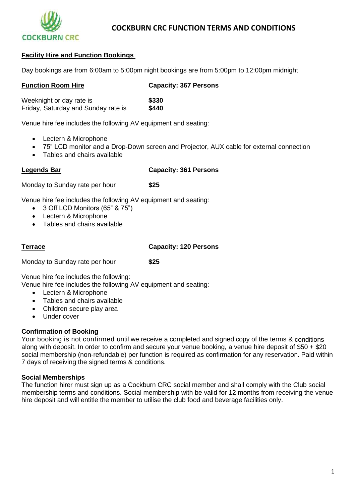

# **COCKBURN CRC FUNCTION TERMS AND CONDITIONS**

## **Facility Hire and Function Bookings**

Day bookings are from 6:00am to 5:00pm night bookings are from 5:00pm to 12:00pm midnight

#### **Function Room Hire Capacity: 367 Persons**

Weeknight or day rate is **\$330**<br>Friday, Saturday and Sunday rate is **\$440** Friday, Saturday and Sunday rate is

Venue hire fee includes the following AV equipment and seating:

- Lectern & Microphone
- 75" LCD monitor and a Drop-Down screen and Projector, AUX cable for external connection
- Tables and chairs available

# **Legends Bar Capacity: 361 Persons**

Monday to Sunday rate per hour **\$25**

Venue hire fee includes the following AV equipment and seating:

- 3 Off LCD Monitors (65" & 75")
- Lectern & Microphone
- Tables and chairs available

**Terrace Capacity: 120 Persons**

Monday to Sunday rate per hour **\$25**

Venue hire fee includes the following:

Venue hire fee includes the following AV equipment and seating:

- Lectern & Microphone
- Tables and chairs available
- Children secure play area
- Under cover

## **Confirmation of Booking**

Your booking is not confirmed until we receive a completed and signed copy of the terms & conditions along with deposit. In order to confirm and secure your venue booking, a venue hire deposit of  $$50 + $20$ social membership (non-refundable) per function is required as confirmation for any reservation. Paid within 7 days of receiving the signed terms & conditions.

## **Social Memberships**

The function hirer must sign up as a Cockburn CRC social member and shall comply with the Club social membership terms and conditions. Social membership with be valid for 12 months from receiving the venue hire deposit and will entitle the member to utilise the club food and beverage facilities only.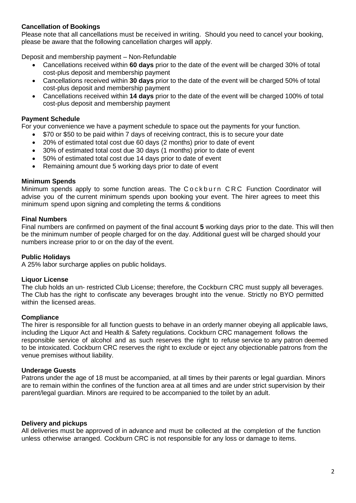# **Cancellation of Bookings**

Please note that all cancellations must be received in writing. Should you need to cancel your booking, please be aware that the following cancellation charges will apply.

Deposit and membership payment – Non-Refundable

- Cancellations received within **60 days** prior to the date of the event will be charged 30% of total cost-plus deposit and membership payment
- Cancellations received within **30 days** prior to the date of the event will be charged 50% of total cost-plus deposit and membership payment
- Cancellations received within **14 days** prior to the date of the event will be charged 100% of total cost-plus deposit and membership payment

# **Payment Schedule**

For your convenience we have a payment schedule to space out the payments for your function.

- \$70 or \$50 to be paid within 7 days of receiving contract, this is to secure your date
- 20% of estimated total cost due 60 days (2 months) prior to date of event
- 30% of estimated total cost due 30 days (1 months) prior to date of event
- 50% of estimated total cost due 14 days prior to date of event
- Remaining amount due 5 working days prior to date of event

## **Minimum Spends**

Minimum spends apply to some function areas. The Cockburn CRC Function Coordinator will advise you of the current minimum spends upon booking your event. The hirer agrees to meet this minimum spend upon signing and completing the terms & conditions

#### **Final Numbers**

Final numbers are confirmed on payment of the final account **5** working days prior to the date. This will then be the minimum number of people charged for on the day. Additional guest will be charged should your numbers increase prior to or on the day of the event.

## **Public Holidays**

A 25% labor surcharge applies on public holidays.

#### **Liquor License**

The club holds an un- restricted Club License; therefore, the Cockburn CRC must supply all beverages. The Club has the right to confiscate any beverages brought into the venue. Strictly no BYO permitted within the licensed areas.

## **Compliance**

The hirer is responsible for all function guests to behave in an orderly manner obeying all applicable laws, including the Liquor Act and Health & Safety regulations. Cockburn CRC management follows the responsible service of alcohol and as such reserves the right to refuse service to any patron deemed to be intoxicated. Cockburn CRC reserves the right to exclude or eject any objectionable patrons from the venue premises without liability.

## **Underage Guests**

Patrons under the age of 18 must be accompanied, at all times by their parents or legal guardian. Minors are to remain within the confines of the function area at all times and are under strict supervision by their parent/legal guardian. Minors are required to be accompanied to the toilet by an adult.

## **Delivery and pickups**

All deliveries must be approved of in advance and must be collected at the completion of the function unless otherwise arranged. Cockburn CRC is not responsible for any loss or damage to items.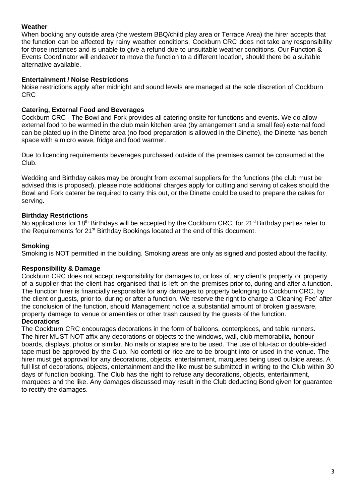# **Weather**

When booking any outside area (the western BBQ/child play area or Terrace Area) the hirer accepts that the function can be affected by rainy weather conditions. Cockburn CRC does not take any responsibility for those instances and is unable to give a refund due to unsuitable weather conditions. Our Function & Events Coordinator will endeavor to move the function to a different location, should there be a suitable alternative available.

## **Entertainment / Noise Restrictions**

Noise restrictions apply after midnight and sound levels are managed at the sole discretion of Cockburn CRC

# **Catering, External Food and Beverages**

Cockburn CRC - The Bowl and Fork provides all catering onsite for functions and events. We do allow external food to be warmed in the club main kitchen area (by arrangement and a small fee) external food can be plated up in the Dinette area (no food preparation is allowed in the Dinette), the Dinette has bench space with a micro wave, fridge and food warmer.

Due to licencing requirements beverages purchased outside of the premises cannot be consumed at the Club.

Wedding and Birthday cakes may be brought from external suppliers for the functions (the club must be advised this is proposed), please note additional charges apply for cutting and serving of cakes should the Bowl and Fork caterer be required to carry this out, or the Dinette could be used to prepare the cakes for serving.

# **Birthday Restrictions**

No applications for 18<sup>th</sup> Birthdays will be accepted by the Cockburn CRC, for 21<sup>st</sup> Birthday parties refer to the Requirements for 21<sup>st</sup> Birthday Bookings located at the end of this document.

# **Smoking**

Smoking is NOT permitted in the building. Smoking areas are only as signed and posted about the facility.

## **Responsibility & Damage**

Cockburn CRC does not accept responsibility for damages to, or loss of, any client's property or property of a supplier that the client has organised that is left on the premises prior to, during and after a function. The function hirer is financially responsible for any damages to property belonging to Cockburn CRC, by the client or guests, prior to, during or after a function. We reserve the right to charge a 'Cleaning Fee' after the conclusion of the function, should Management notice a substantial amount of broken glassware, property damage to venue or amenities or other trash caused by the guests of the function.

## **Decorations**

The Cockburn CRC encourages decorations in the form of balloons, centerpieces, and table runners. The hirer MUST NOT affix any decorations or objects to the windows, wall, club memorabilia, honour boards, displays, photos or similar. No nails or staples are to be used. The use of blu-tac or double-sided tape must be approved by the Club. No confetti or rice are to be brought into or used in the venue. The hirer must get approval for any decorations, objects, entertainment, marquees being used outside areas. A full list of decorations, objects, entertainment and the like must be submitted in writing to the Club within 30 days of function booking. The Club has the right to refuse any decorations, objects, entertainment, marquees and the like. Any damages discussed may result in the Club deducting Bond given for guarantee to rectify the damages.